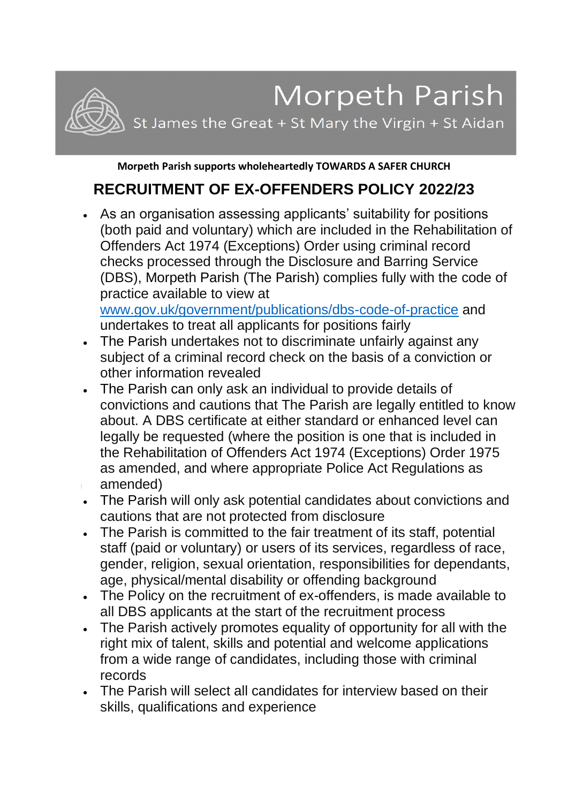## Morpeth Parish

St James the Great + St Mary the Virgin + St Aidan

**Morpeth Parish supports wholeheartedly TOWARDS A SAFER CHURCH**

## **RECRUITMENT OF EX-OFFENDERS POLICY 2022/23**

• As an organisation assessing applicants' suitability for positions (both paid and voluntary) which are included in the Rehabilitation of Offenders Act 1974 (Exceptions) Order using criminal record checks processed through the Disclosure and Barring Service (DBS), Morpeth Parish (The Parish) complies fully with the code of practice available to view at

[www.gov.uk/government/publications/dbs-code-of-practice](http://www.gov.uk/government/publications/dbs-code-of-practice) and undertakes to treat all applicants for positions fairly

- The Parish undertakes not to discriminate unfairly against any subject of a criminal record check on the basis of a conviction or other information revealed
- The Parish can only ask an individual to provide details of convictions and cautions that The Parish are legally entitled to know about. A DBS certificate at either standard or enhanced level can legally be requested (where the position is one that is included in the Rehabilitation of Offenders Act 1974 (Exceptions) Order 1975 as amended, and where appropriate Police Act Regulations as amended)
- The Parish will only ask potential candidates about convictions and cautions that are not protected from disclosure
- The Parish is committed to the fair treatment of its staff, potential staff (paid or voluntary) or users of its services, regardless of race, gender, religion, sexual orientation, responsibilities for dependants, age, physical/mental disability or offending background
- The Policy on the recruitment of ex-offenders, is made available to all DBS applicants at the start of the recruitment process
- The Parish actively promotes equality of opportunity for all with the right mix of talent, skills and potential and welcome applications from a wide range of candidates, including those with criminal records
- The Parish will select all candidates for interview based on their skills, qualifications and experience